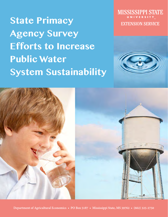**State Primacy Agency Survey Efforts to Increase Public Water System Sustainability** MISSISSIPPI STATE **EXTENSION SERVICE** 



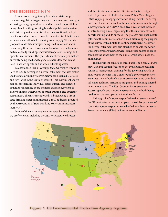## **INTRODUCTION**

In an era of ever-tightening federal and state budgets, increased regulations regarding water treatment and quality, a shrinking and aging workforce, and increased responsibilities being placed on the governing boards of public water systems, state drinking water administrators must continually adopt new ideas and methods to provide the residents of their states with a safe and affordable drinking water supply. This study proposes to identify strategies being used by various states concerning these four broad areas: board member education, system capacity building, waterworks operator training, and operator recruitment. The goal is to identify strategies that are currently being used and to generate new ideas that can be used in achieving safe and affordable drinking water.

To accomplish this, Mississippi State University Extension Service faculty developed a survey instrument that was distributed to state drinking water primacy agencies in all US states and territories in the summer of 2012. This instrument sought responses regarding individual states' current and planned activities concerning board member education, system capacity building, waterworks operator training, and operator recruitment. The instrument was distributed using a list of state drinking water administrator e-mail addresses provided by the Association of State Drinking Water Administrators (ASDWA).

Drafts of the instrument were reviewed by various industry professionals, including the ASDWA executive director

and the director and associate director of the Mississippi State Department of Health–Bureau of Public Water Supply (Mississippi's primacy agency for drinking water). The survey instrument was introduced to the state administrators through a message from the ASDWA executive director that included an introductory e-mail explaining that the instrument would be forthcoming and its purpose. The project's principal investigator sent the administrators an e-mail discussing the purpose of the survey with a link to the online instrument. A copy of the survey instrument was also attached to enable the administrators to prepare their answers (some respondents chose to complete the attachment to the e-mail while others used the online link).

The instrument consists of three parts. The *Board Management Training* section focuses on the availability, topics, and venues of management training for the governing boards of public water systems. The *Capacity and Development* section examines the methods of capacity assessment used by individual states, technical assistance programs, and training offered to water operators. The *New Operator Recruitment* section assesses specific and innovative partnership methods being used to recruit new operators into the industry.

Although all fifty states responded to the survey, none of the US territories or possessions participated. For purposes of comparison, state responses were divided into Environmental Protection Agency (EPA) regions, as seen in **Figure 1.**



**Figure 1. US Environmental Protection Agency regions.**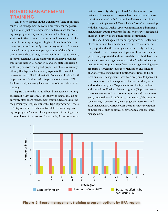## **BOARD MANAGEMENT TRAINING**

This section focuses on the availability of state-sponsored/ sanctioned management education programs for the governing bodies of public water systems. The terms used for these types of programs vary among the states, but they represent a similar objective of understanding desired management roles for public water system governing board members. Nineteen states (38 percent) currently have some type of board management education program in place, and four of these (8 percent) are mandated through either legislation or state primacy agency regulations. Of the states with mandatory programs, three are located in EPA Region 6, and one state is in Region 4. The regions with the highest proportion of states currently offering this type of educational program (either mandatory or voluntary) are EPA Region 6 with 80 percent, Region 7 with 75 percent, and Region 1 with 50 percent of the states. EPA Regions 2 and 3 currently have no states offering this type of training.

**Figure 2** shows the status of board management training programs by EPA regions. Of the thirty-one states that do not currently offer board management training, ten are exploring the possibility of implementing this type of program. Of these, EPA Regions 4 and 8 each have two states considering this type of program. States exploring management training are in various phases of the process. For example, Arkansas reported

that the possibility is being explored. South Carolina reported that a board management program has been developed in association with the South Carolina Rural Water Association but has yet to be implemented. Kentucky has formed a partnership with the Kentucky Public Service Commission to administer a management training program for those water systems that fall under the purview of the public service commission.

The board management training programs currently being offered vary in both content and delivery. Five states (26 percent) reported that the training material currently used only covers basic board management topics, while fourteen states (74 percent) reported that these materials cover both basic and advanced board management topics. All of the board management training programs cover financial management. Eighteen programs (95 percent) cover the organization and function of a waterworks system board, setting water rates, and longterm financial management. Seventeen programs (89 percent) cover operations and management of a waterworks system, and fourteen programs (74 percent) cover the topic of laws and regulations. Finally, thirteen programs (68 percent) cover customer service, and ten programs (53 percent) cover emergency preparedness. In addition to these topics, Washington covers energy conservation, managing water resources, and asset management. Florida covers board member separation of duties topics such as ethical behavior and conflict of interest management.



**Figure 2. Board management training program options by EPA region.**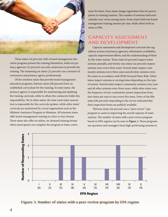

Three states (16 percent) with a board management education program present the training themselves, while ten primacy agencies (53 percent) use only contractors to provide the training. The remaining six states (32 percent) use a mixture of contractors and primacy agency professionals.

Of the nineteen states that provide board management education programs, thirteen states (68 percent) have an established curriculum for the training. In some states, the primacy agency is responsible for maintaining and updating the training curricula, while in others the contractor holds this responsibility. Yet in other states, the state rural water association is responsible for the curricula updates, while other states' curricula are maintained by a local organization such as the Midwest Assistance Program in Montana. All nineteen states offer board management training in a face-to-face format. Three states also offer an online, on-demand training format where participants can complete the program at times convenient for them. Four states charge registration fees for participation in training sessions. The number of sessions held each calendar year varies among states. Some states hold one board management training session per year, while others hold as many as fifty.

# **CAPACITY ASSESSMENT AND DEVELOPMENT**

Capacity assessment and development concerns the regulatory actions of primacy agencies, information availability, capacity improvement efforts, and the understanding of these by the water system. Three states (6 percent) inspect water systems annually, and twenty-one states (42 percent) inspect systems once every three years. Several states inspect community systems every three years and all other systems every five years in accordance with EPA's Ground Water Rule. Other states inspect systems at varying times depending on the type of system. Several states inspect community systems every year and all other systems every three years, while other states vary the frequency of non-community system inspections from four times per year to once every five years. Forty of the fifty states (80 percent) responding to the survey indicated that their inspection forms are publicly available.

Thirteen states (26 percent) use a "peer review" type program to assist in improving the overall capacity of water systems. The number of states with a peer review program based on EPA regions can be seen in **Figure 3**. These programs use operators and managers from high-performing systems to



**Figure 3. Number of states with a peer review program by EPA region.**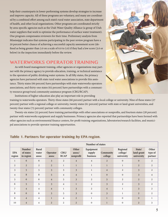help their counterparts in lower-performing systems develop strategies to increase and improve capacity. All of these programs are voluntary, and many are coordinated by a combined effort among each state's rural water association, state department of health, and other local organizations. Other programs are coordinated strictly by area-specific agencies such as the Utah Water Quality Alliance (a group of Utah water suppliers that work to optimize the performance of surface water treatment). One program compensates reviewers for their time. Preliminary analysis from Mississippi indicates that systems participating in the peer review program have a 20 percent better chance of achieving a successful capacity assessment score (defined as being greater than 3.0 on a scale of 0.0 to 5.0) if they had a low score (3.0 or below) in the inspection immediately before the review.

## **WATERWORKS OPERATOR TRAINING**

As with board management training, other agencies or organizations may partner with the primacy agency to provide education, training, or technical assistance to the operators of public drinking water systems. In all fifty states, the primacy agencies have partnered with state rural water associations to provide this assistance. Thirty states (60 percent) have partnerships with state waterworks operators associations, and thirty-one states (62 percent) have partnerships with a community resource group/rural community assistance program (CRG/RCAP).



Institutions of higher education also play an important role in providing training to waterworks operators. Thirty-three states (66 percent) partner with a local college or university. Nine of these states (27 percent) partner with a regional college or university, twenty states (61 percent) partner with state or land-grant universities, and twenty-four states (73 percent) partner with community colleges.

Twenty-six states (52 percent) have training partnerships with other associations or nonprofits, and fourteen states (28 percent) partner with waterworks equipment and supply businesses. Primacy agencies also reported that partnerships have been formed with other agencies such as environmental finance centers, for-profit training organizations, laboratories/research facilities, and municipal associations to provide operator training opportunities.

|                      |                                  | Number of states        |                   |                     |                              |                                 |                      |                                    |                                    |                             |
|----------------------|----------------------------------|-------------------------|-------------------|---------------------|------------------------------|---------------------------------|----------------------|------------------------------------|------------------------------------|-----------------------------|
| <b>EPA</b><br>region | Number<br>of states<br>in region | Rural<br>water<br>assoc | Operator<br>assoc | CRG/<br><b>RCAP</b> | Other<br>assoc/<br>nonprofit | Equipment<br>supply<br>business | Community<br>college | Regional<br>college/<br>university | State/<br>land-grant<br>university | Other<br>type of<br>partner |
| $\mathbf{1}$         | 6                                | 6                       | $\overline{3}$    | $\overline{2}$      | $\overline{4}$               | $\overline{4}$                  | $\overline{2}$       | $\mathbf{0}$                       | $\mathbf{0}$                       | 2                           |
| 2                    | 2                                | 2                       | $\overline{2}$    | $\mathbf{1}$        | $\mathbf{1}$                 | $\mathbf{1}$                    | $\mathbf{1}$         | $\mathbf{1}$                       | $\overline{2}$                     | 2                           |
| 3                    | 5                                | 5                       | $\overline{3}$    | $\overline{3}$      | $\overline{3}$               | $\mathbf{1}$                    | $\overline{4}$       | 2                                  | $\overline{3}$                     | 2                           |
| $\overline{4}$       | 8                                | 8                       | 5                 | $\overline{4}$      | $\overline{4}$               | $1\,$                           | $\mathbf{0}$         | $\mathbf{0}$                       | $\overline{3}$                     | $\overline{4}$              |
| 5                    | 6                                | 6                       | $\overline{4}$    | 5                   | 3                            | $\overline{2}$                  | 5                    | 2                                  | $\overline{2}$                     | 2                           |
| 6                    | 5                                | 5                       | $\overline{3}$    | $\overline{4}$      | $\mathbf{1}$                 | 2                               | $\overline{3}$       | 2                                  | $\overline{3}$                     | $\overline{2}$              |
| 7                    | $\overline{4}$                   | $\overline{4}$          | $\overline{4}$    | $\mathbf{1}$        | 3                            | 2                               | $\overline{4}$       | $\mathbf{1}$                       | $\overline{3}$                     | 2                           |
| 8                    | 6                                | 6                       | $\overline{3}$    | 5                   | $\overline{3}$               | $\mathbf{0}$                    | $\overline{3}$       | $\mathbf{1}$                       | 2                                  | 2                           |
| 9                    | $\overline{4}$                   | $\overline{4}$          | $\mathbf{1}$      | $\overline{4}$      | $\overline{2}$               | $\mathbf{1}$                    | $\mathbf{1}$         | $\Omega$                           | $\overline{0}$                     | $\mathbf{1}$                |
| 10                   | $\overline{4}$                   | $\overline{4}$          | $\overline{2}$    | 2                   | $\overline{2}$               | $\mathbf{0}$                    | $\mathbf{1}$         | $\mathbf{0}$                       | $\overline{2}$                     | $\mathfrak{Z}$              |

### **Table 1. Partners for operator training by EPA region.**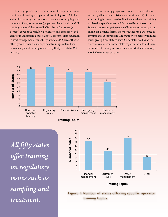Primacy agencies and their partners offer operator education in a wide variety of topics as shown in **Figure 4**. All fifty states offer training on regulatory issues such as sampling and treatment. Forty-seven states (94 percent) have hands-on skills training as part of their overall effort. Forty-four states (88 percent) cover both backflow prevention and emergency and disaster management. Forty states (80 percent) offer education in asset management, while thirty-six states (72 percent) offer other types of financial management training. System business management training is offered by thirty-one states (62 percent).

Operator training programs are offered in a face-to-face format by all fifty states. Sixteen states (32 percent) offer operator training in a structured online format where the training is offered at specific times and facilitated by an instructor. Twenty-three states (46 percent) offer operator training in an online, on-demand format where students can participate at any time that is convenient. The number of operator trainings varies greatly from state to state. Some states hold as few as twelve sessions, while other states report hundreds and even thousands of training sessions each year. Most states average about 350 trainings per year.



*All fifty states offer training on regulatory issues such as sampling and treatment.*



### **Figure 4. Number of states offering specific operator training topics.**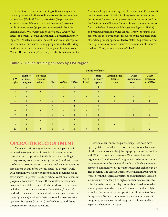In addition to the online training options, many states use and promote additional online resources from a number of providers **(Table 2)**. Twenty-five states (50 percent) use American Water Works Association (awwa.org) resources, while nineteen states (38 percent) use materials from the National Rural Water Association (nrwa.org). Twenty-four states (48 percent) use the Environmental Protection Agency (epa.gov). Nineteen states (38 percent) also use other types of environmental and water training programs such as the Maryland Center for Environmental Training and Montana Water Center. Thirteen states (26 percent) use the Rural Community

Assistance Program (rcap.org), while eleven states (22 percent) use the Association of State Drinking Water Administrators (asdwa.org). Seven states (14 percent) promote resources from the Environmental Finance Centers. Some states use resources from the Federal Emergency Management Agency (FEMA) and various Extension Service offices. Twenty-one states (42 percent) use their own online resources or use resources from other state primacy agencies. Twelve states (24 percent) do not use or promote any online resources. The number of resources used by EPA region can be seen in **Table 2.** 

|                |                                         | <b>Number of states</b>          |                |                |                |                     |                                   |                                    |                                   |                                  |
|----------------|-----------------------------------------|----------------------------------|----------------|----------------|----------------|---------------------|-----------------------------------|------------------------------------|-----------------------------------|----------------------------------|
| EPA<br>region  | <b>Number</b><br>of states<br>in region | No online<br>training<br>offered | <b>EPA</b>     | <b>AWWA</b>    | <b>NRWA</b>    | CRG/<br><b>RCAP</b> | <b>State</b><br>primacy<br>agency | Environmental<br>finance<br>center | Other<br>environmental<br>centers | Other<br>providers,<br>inc ASDWA |
| $\mathbf{1}$   | 6                                       | $\mathbf{1}$                     | 5              | $\overline{4}$ | 1              | $\mathbf{1}$        | $\mathbf{1}$                      | $\mathbf{1}$                       | $\overline{4}$                    | $\mathfrak{Z}$                   |
| 2              | $\overline{2}$                          | $\overline{0}$                   | $\overline{2}$ | $\overline{2}$ | $\overline{2}$ | $\mathbf{1}$        | $\mathbf{1}$                      |                                    | $\mathbf{1}$                      |                                  |
| $\overline{3}$ | 5                                       | $\overline{2}$                   | $\overline{2}$ | $\overline{0}$ | $\mathbf{1}$   | $\mathbf{0}$        | 2                                 | $\mathbf{0}$                       | $\overline{4}$                    | $\overline{3}$                   |
| $\overline{4}$ | 8                                       | $\overline{3}$                   | $\overline{2}$ | $\mathbf{3}$   | $\overline{3}$ | $\mathbf{1}$        | $\mathbf{1}$                      | $\mathbf{0}$                       | $\mathbf{0}$                      | 6                                |
| 5              | 6                                       | $\mathbf{1}$                     | $\overline{4}$ | 5              | $\overline{4}$ | $\overline{4}$      | $\overline{4}$                    | $\mathbf{1}$                       | $\overline{2}$                    | 2                                |
| 6              | 5                                       | $\mathbf{0}$                     | $\overline{3}$ | 3              | $\overline{3}$ | $\overline{3}$      | 3                                 | $\mathbf{1}$                       | $\overline{3}$                    | $\mathbf{1}$                     |
| 7              | $\overline{4}$                          | $\mathbf{1}$                     | $\overline{2}$ | 2              | $\overline{0}$ | $\mathbf{0}$        | $\mathbf{1}$                      | $\mathbf{1}$                       | $\overline{2}$                    | 2                                |
| 8              | 6                                       | 3                                | $\mathbf{1}$   | $\overline{2}$ | $\overline{2}$ | $\mathbf{1}$        | $\overline{3}$                    |                                    | $\mathbf{1}$                      | $\overline{1}$                   |
| 9              | $\overline{4}$                          |                                  | 2              | $\overline{2}$ | $\overline{3}$ | 2                   | $\mathbf{1}$                      | $\mathbf{0}$                       | $\mathbf{1}$                      | 2                                |
| 10             | $\overline{4}$                          | $\mathbf{0}$                     | $\mathbf{1}$   | $\overline{2}$ | $\mathbf{0}$   | $\mathbf{0}$        | $\overline{4}$                    |                                    | $\mathbf{1}$                      | $\overline{2}$                   |

#### **Table 2. Online training sources by EPA region.**

### **OPERATOR RECRUITMENT**

Many state primacy agencies have formed partnerships with various organizations in an effort to recruit new waterworks system operators into the industry. According to survey results, twenty-one states (42 percent) work with state professional associations such as state rural water or operators associations in this effort. Twenty states (40 percent) work with community college workforce training programs, while seven states (14 percent) use high school vocational/technical programs. Four states (8 percent) use workforce investment areas, and four states (8 percent) also work with correctional facilities to recruit new operators. Three states (6 percent) work with their state economic development agencies, and two states (4 percent) work with their state employment security agencies. Two states (4 percent) use "welfare to work" type programs to recruit new operators.

Several other innovative partnerships have been developed by states in an effort to recruit new operators. For example, three states work with a job corps program in cooperation with EPA to recruit new operators. Other states have also begun to work with veterans' programs in order to recruit military veterans into the waterworks industry. Michigan uses an approved community college water/wastewater technology degree program. The Florida Operator Certification Program has worked with the Florida Department of Education to develop a curriculum to be taught to high school students seeking to enter the waterworks industry. Connecticut has developed a similar program in which, after a 72-hour curriculum, high school seniors may sit for the operator certification test. New Jersey has applied for a grant to fund an operator internship program to educate recruits through curriculum as well as experience before certification.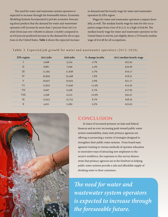The need for water and wastewater system operators is expected to increase through the foreseeable future. Economic Modeling Systems Incorporated (a private economic forecasting firm) predicts that the demand for water and wastewater operators will increase by more than 7 percent from 2013 to 2020 (from just over 108,000 to almost 116,000) compared to an 8.8 percent predicted increase in the demand for all occupations in the United States. **Table 3** shows the expected increase

in demand and the hourly wage for water and wastewater operators by EPA region.

Wages for water and wastewater operators compare favorably, as well. The median hourly wage by state for this occupation ranges from a low of \$13.21 to a high of \$29.89. The median hourly wage for water and wastewater operators in the United States is \$20.09, just slightly above a US hourly median wage of \$19.98 for all occupations.

### **Table 3. Expected job growth for water and wastewater operators (2013–2020).**

| <b>EPA</b> region | $2013$ jobs | 2020 jobs | % change in jobs | 2013 median hourly wage |
|-------------------|-------------|-----------|------------------|-------------------------|
| I                 | 5,098       | 5,234     | 2.7%             | \$22.92                 |
| $\rm II$          | 6,881       | 7,046     | $2.4\%$          | \$22.60                 |
| III               | 11,302      | 11,838    | 4.7%             | \$19.17                 |
| IV                | 20,859      | 22,498    | 7.9%             | \$18.51                 |
| V                 | 18,927      | 19,503    | 3.0%             | \$21.17                 |
| VI                | 15,832      | 17,946    | 13.4%            | \$15.02                 |
| <b>VII</b>        | 6,067       | 6,438     | 6.1%             | \$17.82                 |
| <b>VIII</b>       | 5,598       | 6,210     | 10.9%            | \$20.47                 |
| IX                | 12,623      | 13,723    | 8.7%             | \$28.50                 |
| X                 | 4,921       | 5,389     | 9.5%             | \$23.63                 |



# **CONCLUSION**

In times of increased pressure on state and federal finances and an ever-increasing push toward public water system sustainability, many state primacy agencies are offering or promoting a variety of strategies designed to strengthen their public water systems. From board management training to various methods of operator education to innovative ways of attracting new employees to the sector's workforce, the responses to this survey demonstrate that primacy agencies are at the forefront in helping public water systems provide a safe and affordable supply of drinking water to their customers.

*The need for water and wastewater system operators is expected to increase through the foreseeable future.*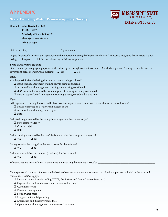# **APPENDIX**

### **State Drinking Water Primacy Agency Survey**



| Contact: Alan Barefield, PhD |  |  |  |  |
|------------------------------|--|--|--|--|
| PO Box 5187                  |  |  |  |  |
| Mississippi State, MS 39762  |  |  |  |  |
| alanb@ext.msstate.edu        |  |  |  |  |
| 662.325.7995                 |  |  |  |  |

State or territory: \_\_\_\_\_\_\_\_\_\_\_\_\_\_\_\_\_\_\_\_\_\_\_ Agency name: \_\_\_\_\_\_\_\_\_\_\_\_\_\_\_\_\_\_\_\_\_\_\_\_\_\_\_\_\_\_\_\_\_\_\_\_\_\_\_\_\_\_\_\_\_\_\_\_\_\_\_\_\_\_\_\_

I agree that specific answers that I provide may be reported on a singular basis as evidence of innovative programs that my state is undertaking.  $\Box$  Agree  $\Box$  Do not release my individual responses

#### *Board Management Training*

Does the state primacy agency sponsor, either directly or through contract assistance, Board Management Training to members of the governing boards of waterworks systems?  $\Box$  Yes  $\Box$  No

#### **If no,**

Are the possibilities of offering this type of training being explored?

- $\Box$  Basic board management training only is being considered.
- $\Box$  Advanced board management training only is being considered.
- *Both* basic and advanced board management training are being considered.
- $\Box$  Neither type of board management training is being considered at this time.

#### **If yes,**

Is the sponsored training focused on the basics of serving on a waterworks system board or on advanced topics?

- $\Box$  Basics of serving on a waterworks system board
- $\Box$  Advanced board management topics
- $\Box$  Both

Is the training presented by the state primacy agency or by contractor(s)?

- $\Box$  State primacy agency
- $\Box$  Contractor(s)
- $\Box$  Both
- Is this training mandated by the state's legislature or by the state primacy agency?

 $\Box$  Yes  $\Box$  No

- Is a registration fee charged to the participants for the training?  $\Box$  Yes  $\Box$  No
- Is there an established curriculum (curricula) for the training?  $\Box$  Yes  $\Box$  No

What entities are responsible for maintaining and updating the training curricula?

If the sponsored training is focused on the basics of serving on a waterworks system board, what topics are included in the training? *(Please select all that apply.)*

\_\_\_\_\_\_\_\_\_\_\_\_\_\_\_\_\_\_\_\_\_\_\_\_\_\_\_\_\_\_\_\_\_\_\_\_\_\_\_\_\_\_\_\_\_\_\_\_\_\_\_\_\_\_\_\_\_\_\_\_\_\_\_\_\_\_\_\_\_\_\_\_\_\_\_\_\_\_\_\_\_\_\_\_\_\_\_\_\_\_\_\_\_\_\_\_\_\_\_\_\_\_\_\_\_\_\_\_\_

 $\Box$  Laws and regulations (including SDWA, the Surface and Ground Water Rules, etc.)

- $\Box$  Organization and function of a waterworks system board
- $\Box$  Customer service
- $\Box$  Financial management
- $\Box$  Setting water rates
- $\Box$  Long-term financial planning
- $\Box$  Emergency and disaster preparedness
- $\Box$  Operations and management of a waterworks system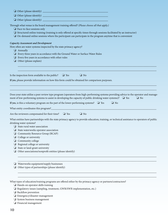|                             | Through what venue is the board management training offered? (Please choose all that apply.)<br>$\Box$ Face-to-face sessions only<br>$\Box$ Structured online training (training is only offered at specific times through sessions facilitated by an instructor)<br>$\Box$ On-demand online sessions where the participant can participate in the program anytime that is convenient                                                                                           |  |  |  |  |  |  |
|-----------------------------|---------------------------------------------------------------------------------------------------------------------------------------------------------------------------------------------------------------------------------------------------------------------------------------------------------------------------------------------------------------------------------------------------------------------------------------------------------------------------------|--|--|--|--|--|--|
|                             | <b>Capacity Assessment and Development</b><br>How often are water systems inspected by the state primacy agency?<br>$\Box$ Annually<br>$\Box$ Every three years in accordance with the Ground Water or Surface Water Rules<br>$\Box$ Every five years in accordance with other rules<br>$\Box$ Other (please explain)                                                                                                                                                           |  |  |  |  |  |  |
|                             | Is the inspection form available to the public?<br>$\Box$ Yes<br>$\Box$ No                                                                                                                                                                                                                                                                                                                                                                                                      |  |  |  |  |  |  |
|                             | If yes, please provide information on how this form could be obtained for comparison purposes.                                                                                                                                                                                                                                                                                                                                                                                  |  |  |  |  |  |  |
|                             | Does your state utilize a peer review type program (operators from high-performing systems providing advice to the operator and manage-<br>ment of low-performing systems to assist in developing the capacity of public drinking water systems)? $\Box$ Yes<br>$\Box$ No<br>If yes, is this a voluntary program on the part of the lower-performing systems? $\Box$ Yes<br>$\Box$ No                                                                                           |  |  |  |  |  |  |
|                             | Are the reviewers compensated for their time? $\Box$ Yes<br>$\Box$ No                                                                                                                                                                                                                                                                                                                                                                                                           |  |  |  |  |  |  |
| ⊔<br>❏<br>$\Box$<br>Q.<br>❏ | What entities have partnerships with the state primacy agency to provide education, training, or technical assistance to operators of public<br>drinking water systems?<br>$\Box$ State rural water association<br>$\Box$ State waterworks operator association<br>Community Resource Group (RCAP)<br>College or university<br>Community college<br>Regional college or university<br>State or land-grant university<br>Other associations/nonprofit entities (please identify) |  |  |  |  |  |  |
| ❏<br>❏                      | Waterworks equipment/supply businesses<br>Other types of partnerships (please identify)                                                                                                                                                                                                                                                                                                                                                                                         |  |  |  |  |  |  |
|                             | What types of education/training programs are offered either by the primacy agency or partners/contractors?<br>$\Box$ Hands-on operator skills training<br>Regulatory issues (sampling, treatment, GWR/SWR implementation, etc.)<br>$\Box$ Backflow prevention                                                                                                                                                                                                                  |  |  |  |  |  |  |

- $\Box$  Emergency/disaster management
- **a** System business management
- **d** Financial management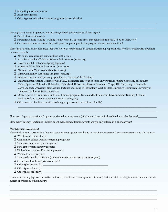- $\Box$  Marketing/customer service
- $\Box$  Asset management
- $\Box$  Other types of education/training programs (please identify)

Through what venue is operator training being offered? *(Please choose all that apply.)*

- $\Box$  Face-to-face sessions only
- $\Box$  Structured online training (training is only offered at specific times through sessions facilitated by an instructor)
- $\Box$  On-demand online sessions (the participant can participate in the program at any convenient time)

Please indicate any online resources that are actively used/promoted in education/training opportunities for either waterworks operators or system boards:

 $\mathcal{L}_\mathcal{L} = \mathcal{L}_\mathcal{L} = \mathcal{L}_\mathcal{L} = \mathcal{L}_\mathcal{L} = \mathcal{L}_\mathcal{L} = \mathcal{L}_\mathcal{L} = \mathcal{L}_\mathcal{L} = \mathcal{L}_\mathcal{L} = \mathcal{L}_\mathcal{L} = \mathcal{L}_\mathcal{L} = \mathcal{L}_\mathcal{L} = \mathcal{L}_\mathcal{L} = \mathcal{L}_\mathcal{L} = \mathcal{L}_\mathcal{L} = \mathcal{L}_\mathcal{L} = \mathcal{L}_\mathcal{L} = \mathcal{L}_\mathcal{L}$  $\mathcal{L}_\mathcal{L} = \mathcal{L}_\mathcal{L} = \mathcal{L}_\mathcal{L} = \mathcal{L}_\mathcal{L} = \mathcal{L}_\mathcal{L} = \mathcal{L}_\mathcal{L} = \mathcal{L}_\mathcal{L} = \mathcal{L}_\mathcal{L} = \mathcal{L}_\mathcal{L} = \mathcal{L}_\mathcal{L} = \mathcal{L}_\mathcal{L} = \mathcal{L}_\mathcal{L} = \mathcal{L}_\mathcal{L} = \mathcal{L}_\mathcal{L} = \mathcal{L}_\mathcal{L} = \mathcal{L}_\mathcal{L} = \mathcal{L}_\mathcal{L}$ 

- $\Box$  No online resources are being utilized at this time
- $\Box$  Association of State Drinking Water Administrators (asdwa.org)
- $\Box$  Environmental Protection Agency (epa.gov)
- $\Box$  American Water Works Association (awwa.org)
- $\Box$  National Rural Water Association (nrwa.org)
- $\Box$  Rural Community Assistance Program (rcap.org)
- $\Box$  Your own or other state primacy agencies (i.e., Colorado TMF Trainer)
- $\Box$  Environmental Finance Center Network (EPA-designated centers at selected universities, including University of Southern Maine, Syracuse University, University of Maryland, University of North Carolina at Chapel Hill, University of Louisville, Cleveland State University, New Mexico Institute of Mining & Technology, Wichita State University, Dominican University of California, and Boise State University)

 $\mathcal{L}_\mathcal{L} = \mathcal{L}_\mathcal{L} = \mathcal{L}_\mathcal{L} = \mathcal{L}_\mathcal{L} = \mathcal{L}_\mathcal{L} = \mathcal{L}_\mathcal{L} = \mathcal{L}_\mathcal{L} = \mathcal{L}_\mathcal{L} = \mathcal{L}_\mathcal{L} = \mathcal{L}_\mathcal{L} = \mathcal{L}_\mathcal{L} = \mathcal{L}_\mathcal{L} = \mathcal{L}_\mathcal{L} = \mathcal{L}_\mathcal{L} = \mathcal{L}_\mathcal{L} = \mathcal{L}_\mathcal{L} = \mathcal{L}_\mathcal{L}$  $\mathcal{L}_\mathcal{L} = \mathcal{L}_\mathcal{L} = \mathcal{L}_\mathcal{L} = \mathcal{L}_\mathcal{L} = \mathcal{L}_\mathcal{L} = \mathcal{L}_\mathcal{L} = \mathcal{L}_\mathcal{L} = \mathcal{L}_\mathcal{L} = \mathcal{L}_\mathcal{L} = \mathcal{L}_\mathcal{L} = \mathcal{L}_\mathcal{L} = \mathcal{L}_\mathcal{L} = \mathcal{L}_\mathcal{L} = \mathcal{L}_\mathcal{L} = \mathcal{L}_\mathcal{L} = \mathcal{L}_\mathcal{L} = \mathcal{L}_\mathcal{L}$ 

- $\Box$  Other types of environmental and water training programs (i.e., Maryland Center for Environmental Training, Missouri Public Drinking Water Site, Montana Water Center, etc.)
- $\Box$  Other sources of online education/training programs and tools (please identify)

How many "agency-sanctioned" operator-oriented training events (of all lengths) are typically offered in a calendar year?

How many "agency-sanctioned" system board management training events are typically offered in a calendar year?

#### *New Operator Recruitment*

Please indicate any partnerships that your state primacy agency is utilizing to recruit new waterworks system operators into the industry.

- $\Box$  Workforce investment areas
- $\Box$  Community college workforce training programs
- $\Box$  State economic development agencies
- $\Box$  State employment security agencies
- $\Box$  High school vocational/technical programs
- $\Box$  Welfare to work programs
- $\Box$  State professional associations (state rural water or operators association, etc.)
- $\Box$  Correctional facilities (prisons and jails)
- $\Box$  Other (please identify)
- $\Box$  Other (please identify)  $\Box$
- o Other (please identify) \_\_\_\_\_\_\_\_\_\_\_\_\_\_\_\_\_\_\_\_\_\_\_\_\_\_\_\_\_\_\_\_\_\_\_\_\_\_\_\_\_\_\_\_\_\_\_\_\_

Please describe any types of innovative methods (recruitment, training, or certification) that your state is using to recruit new waterworks system operators into the industry.

\_\_\_\_\_\_\_\_\_\_\_\_\_\_\_\_\_\_\_\_\_\_\_\_\_\_\_\_\_\_\_\_\_\_\_\_\_\_\_\_\_\_\_\_\_\_\_\_\_\_\_\_\_\_\_\_\_\_\_\_\_\_\_\_\_\_\_\_\_\_\_\_\_\_\_\_\_\_\_\_\_\_\_\_\_\_\_\_\_\_\_\_\_\_\_\_\_\_\_\_\_\_\_\_\_\_\_\_\_\_ \_\_\_\_\_\_\_\_\_\_\_\_\_\_\_\_\_\_\_\_\_\_\_\_\_\_\_\_\_\_\_\_\_\_\_\_\_\_\_\_\_\_\_\_\_\_\_\_\_\_\_\_\_\_\_\_\_\_\_\_\_\_\_\_\_\_\_\_\_\_\_\_\_\_\_\_\_\_\_\_\_\_\_\_\_\_\_\_\_\_\_\_\_\_\_\_\_\_\_\_\_\_\_\_\_\_\_\_\_\_ \_\_\_\_\_\_\_\_\_\_\_\_\_\_\_\_\_\_\_\_\_\_\_\_\_\_\_\_\_\_\_\_\_\_\_\_\_\_\_\_\_\_\_\_\_\_\_\_\_\_\_\_\_\_\_\_\_\_\_\_\_\_\_\_\_\_\_\_\_\_\_\_\_\_\_\_\_\_\_\_\_\_\_\_\_\_\_\_\_\_\_\_\_\_\_\_\_\_\_\_\_\_\_\_\_\_\_\_\_\_ \_\_\_\_\_\_\_\_\_\_\_\_\_\_\_\_\_\_\_\_\_\_\_\_\_\_\_\_\_\_\_\_\_\_\_\_\_\_\_\_\_\_\_\_\_\_\_\_\_\_\_\_\_\_\_\_\_\_\_\_\_\_\_\_\_\_\_\_\_\_\_\_\_\_\_\_\_\_\_\_\_\_\_\_\_\_\_\_\_\_\_\_\_\_\_\_\_\_\_\_\_\_\_\_\_\_\_\_\_\_